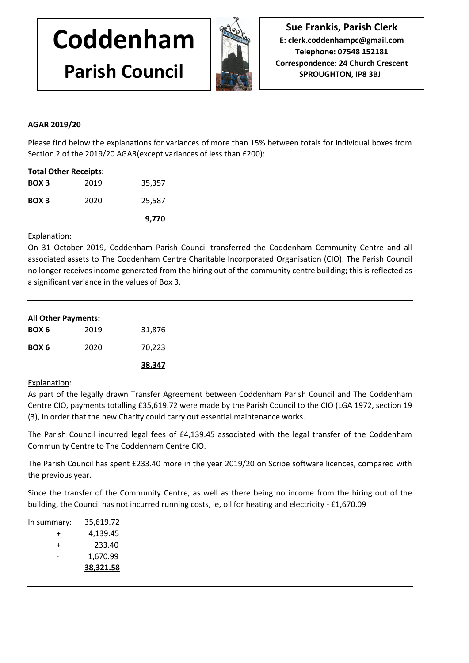# **Coddenham Parish Council**



**Sue Frankis, Parish Clerk E: clerk.coddenhampc@gmail.com Telephone: 07548 152181 Correspondence: 24 Church Crescent SPROUGHTON, IP8 3BJ**

## **AGAR 2019/20**

Please find below the explanations for variances of more than 15% between totals for individual boxes from Section 2 of the 2019/20 AGAR(except variances of less than £200):

| <b>Total Other Receipts:</b> |      |        |  |  |
|------------------------------|------|--------|--|--|
| BOX <sub>3</sub>             | 2019 | 35,357 |  |  |
| BOX <sub>3</sub>             | 2020 | 25,587 |  |  |
|                              |      | 9,770  |  |  |

Explanation:

On 31 October 2019, Coddenham Parish Council transferred the Coddenham Community Centre and all associated assets to The Coddenham Centre Charitable Incorporated Organisation (CIO). The Parish Council no longer receives income generated from the hiring out of the community centre building; this is reflected as a significant variance in the values of Box 3.

| <b>All Other Payments:</b> |      |        |
|----------------------------|------|--------|
| BOX 6                      | 2019 | 31,876 |
| BOX 6                      | 2020 | 70,223 |
|                            |      | 38,347 |

### Explanation:

As part of the legally drawn Transfer Agreement between Coddenham Parish Council and The Coddenham Centre CIO, payments totalling £35,619.72 were made by the Parish Council to the CIO (LGA 1972, section 19 (3), in order that the new Charity could carry out essential maintenance works.

The Parish Council incurred legal fees of £4,139.45 associated with the legal transfer of the Coddenham Community Centre to The Coddenham Centre CIO.

The Parish Council has spent £233.40 more in the year 2019/20 on Scribe software licences, compared with the previous year.

Since the transfer of the Community Centre, as well as there being no income from the hiring out of the building, the Council has not incurred running costs, ie, oil for heating and electricity - £1,670.09

|             | 38,321.58 |
|-------------|-----------|
|             | 1,670.99  |
| +           | 233.40    |
| +           | 4,139.45  |
| In summary: | 35,619.72 |